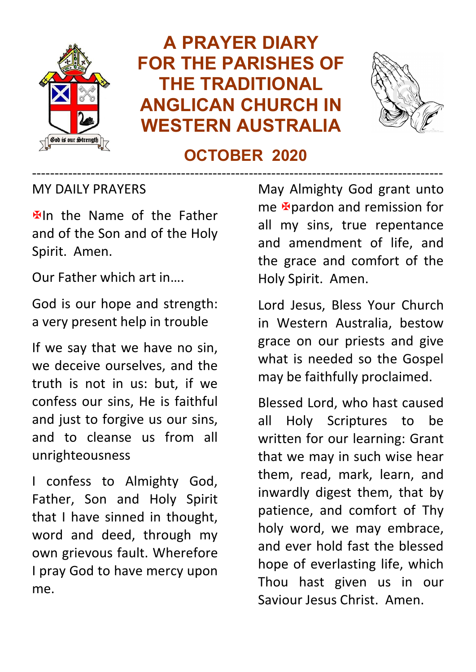

# **A PRAYER DIARY FOR THE PARISHES OF THE TRADITIONAL ANGLICAN CHURCH IN WESTERN AUSTRALIA**



# **OCTOBER 2020**

-------------------------------------------------------------------------------------------

MY DAILY PRAYERS

**Elln** the Name of the Father and of the Son and of the Holy Spirit. Amen.

Our Father which art in….

God is our hope and strength: a very present help in trouble

If we say that we have no sin, we deceive ourselves, and the truth is not in us: but, if we confess our sins, He is faithful and just to forgive us our sins, and to cleanse us from all unrighteousness

I confess to Almighty God, Father, Son and Holy Spirit that I have sinned in thought, word and deed, through my own grievous fault. Wherefore I pray God to have mercy upon me.

May Almighty God grant unto me **E**pardon and remission for all my sins, true repentance and amendment of life, and the grace and comfort of the Holy Spirit. Amen.

Lord Jesus, Bless Your Church in Western Australia, bestow grace on our priests and give what is needed so the Gospel may be faithfully proclaimed.

Blessed Lord, who hast caused all Holy Scriptures to be written for our learning: Grant that we may in such wise hear them, read, mark, learn, and inwardly digest them, that by patience, and comfort of Thy holy word, we may embrace, and ever hold fast the blessed hope of everlasting life, which Thou hast given us in our Saviour Jesus Christ. Amen.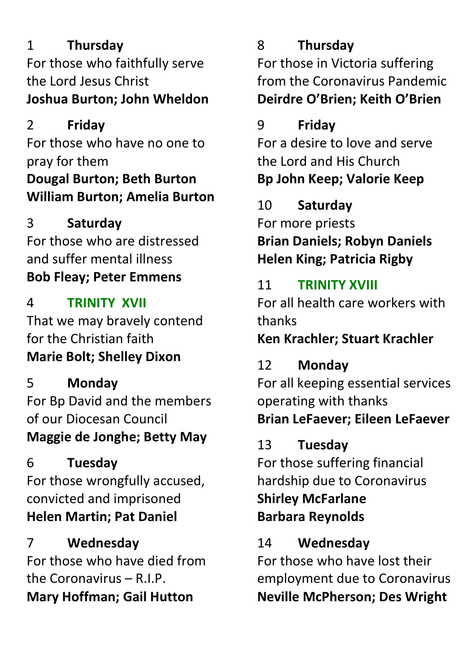# 1 **Thursday**

For those who faithfully serve the Lord Jesus Christ **Joshua Burton; John Wheldon**

# 2 **Friday**

For those who have no one to pray for them **Dougal Burton; Beth Burton William Burton; Amelia Burton**

## 3 **Saturday**

For those who are distressed and suffer mental illness **Bob Fleay; Peter Emmens**

# 4 **TRINITY XVII**

That we may bravely contend for the Christian faith **Marie Bolt; Shelley Dixon**

5 **Monday** For Bp David and the members of our Diocesan Council **Maggie de Jonghe; Betty May**

# 6 **Tuesday**

For those wrongfully accused, convicted and imprisoned **Helen Martin; Pat Daniel**

# 7 **Wednesday**

For those who have died from the Coronavirus – R.I.P. **Mary Hoffman; Gail Hutton**

# 8 **Thursday**

For those in Victoria suffering from the Coronavirus Pandemic **Deirdre O'Brien; Keith O'Brien**

# 9 **Friday**

For a desire to love and serve the Lord and His Church **Bp John Keep; Valorie Keep**

# 10 **Saturday**

For more priests **Brian Daniels; Robyn Daniels Helen King; Patricia Rigby**

# 11 **TRINITY XVIII**

For all health care workers with thanks

**Ken Krachler; Stuart Krachler**

# 12 **Monday**

For all keeping essential services operating with thanks **Brian LeFaever; Eileen LeFaever**

# 13 **Tuesday**

For those suffering financial hardship due to Coronavirus **Shirley McFarlane Barbara Reynolds**

## 14 **Wednesday**

For those who have lost their employment due to Coronavirus **Neville McPherson; Des Wright**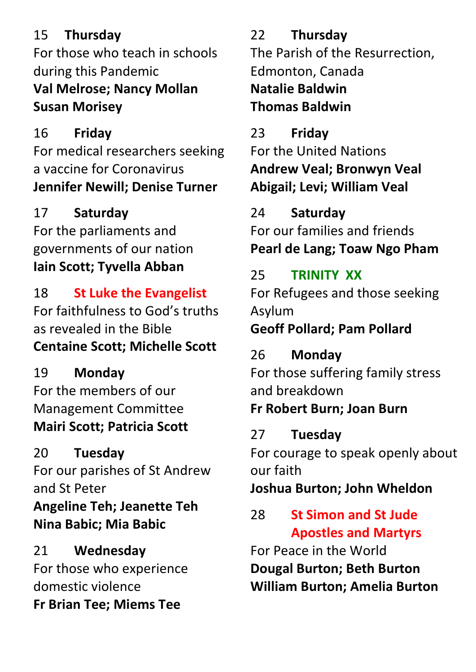# 15 **Thursday**

For those who teach in schools during this Pandemic **Val Melrose; Nancy Mollan Susan Morisey**

# 16 **Friday**

For medical researchers seeking a vaccine for Coronavirus **Jennifer Newill; Denise Turner**

# 17 **Saturday**

For the parliaments and governments of our nation **Iain Scott; Tyvella Abban**

18 **St Luke the Evangelist** For faithfulness to God's truths as revealed in the Bible **Centaine Scott; Michelle Scott**

19 **Monday** For the members of our Management Committee **Mairi Scott; Patricia Scott**

# 20 **Tuesday**

For our parishes of St Andrew and St Peter **Angeline Teh; Jeanette Teh Nina Babic; Mia Babic**

21 **Wednesday** For those who experience domestic violence **Fr Brian Tee; Miems Tee**

22 **Thursday** The Parish of the Resurrection, Edmonton, Canada **Natalie Baldwin Thomas Baldwin**

## 23 **Friday**

For the United Nations **Andrew Veal; Bronwyn Veal Abigail; Levi; William Veal**

## 24 **Saturday**

For our families and friends **Pearl de Lang; Toaw Ngo Pham**

# 25 **TRINITY XX**

For Refugees and those seeking Asylum

## **Geoff Pollard; Pam Pollard**

# 26 **Monday**

For those suffering family stress and breakdown

# **Fr Robert Burn; Joan Burn**

#### 27 **Tuesday**

For courage to speak openly about our faith

## **Joshua Burton; John Wheldon**

# 28 **St Simon and St Jude Apostles and Martyrs**

For Peace in the World **Dougal Burton; Beth Burton William Burton; Amelia Burton**